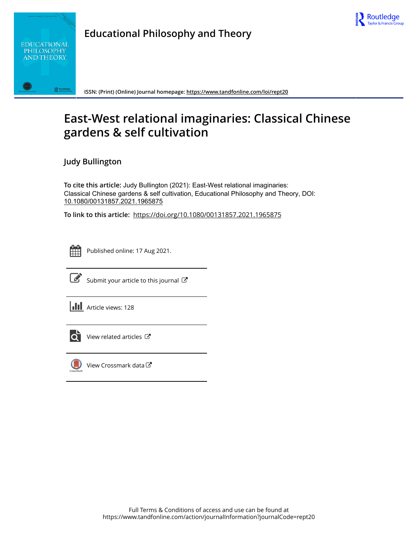



**Educational Philosophy and Theory**

**ISSN: (Print) (Online) Journal homepage:<https://www.tandfonline.com/loi/rept20>**

## **East-West relational imaginaries: Classical Chinese gardens & self cultivation**

**Judy Bullington**

**To cite this article:** Judy Bullington (2021): East-West relational imaginaries: Classical Chinese gardens & self cultivation, Educational Philosophy and Theory, DOI: [10.1080/00131857.2021.1965875](https://www.tandfonline.com/action/showCitFormats?doi=10.1080/00131857.2021.1965875)

**To link to this article:** <https://doi.org/10.1080/00131857.2021.1965875>



Published online: 17 Aug 2021.



 $\overrightarrow{S}$  [Submit your article to this journal](https://www.tandfonline.com/action/authorSubmission?journalCode=rept20&show=instructions)  $\overrightarrow{S}$ 

**III** Article views: 128



[View related articles](https://www.tandfonline.com/doi/mlt/10.1080/00131857.2021.1965875)  $\mathbb{Z}$ 



[View Crossmark data](http://crossmark.crossref.org/dialog/?doi=10.1080/00131857.2021.1965875&domain=pdf&date_stamp=2021-08-17)<sup>で</sup>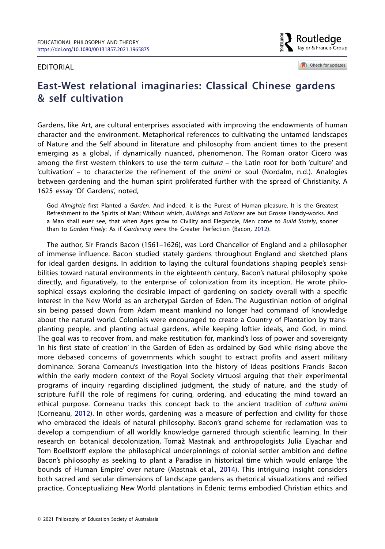## Editorial

Routledae Taylor & Francis Group

<span id="page-1-0"></span>Check for updates

## **East-West relational imaginaries: Classical Chinese gardens & self cultivation**

Gardens, like Art, are cultural enterprises associated with improving the endowments of human character and the environment. Metaphorical references to cultivating the untamed landscapes of Nature and the Self abound in literature and philosophy from ancient times to the present emerging as a global, if dynamically nuanced, phenomenon. The Roman orator Cicero was among the first western thinkers to use the term *cultura –* the Latin root for both 'culture' and 'cultivation' – to characterize the refinement of the *animi* or soul (Nordalm, n.d.). Analogies between gardening and the human spirit proliferated further with the spread of Christianity. A 1625 essay 'Of Gardens', noted,

God *Almightie* first Planted a *Garden*. And indeed, it is the Purest of Human pleasure. It is the Greatest Refreshment to the Spirits of Man; Without which, *Building*s and *Pallaces* are but Grosse Handy-works. And a Man shall euer see, that when Ages grow to Civility and Elegancie, Men come to *Build Stately*, sooner than to *Garden Finely*: As if *Gardening* were the Greater Perfection (Bacon, [2012\)](#page-5-0).

<span id="page-1-2"></span><span id="page-1-1"></span>The author, Sir Francis Bacon (1561–1626), was Lord Chancellor of England and a philosopher of immense influence. Bacon studied stately gardens throughout England and sketched plans for ideal garden designs. In addition to laying the cultural foundations shaping people's sensibilities toward natural environments in the eighteenth century, Bacon's natural philosophy spoke directly, and figuratively, to the enterprise of colonization from its inception. He wrote philosophical essays exploring the desirable impact of gardening on society overall with a specific interest in the New World as an archetypal Garden of Eden. The Augustinian notion of original sin being passed down from Adam meant mankind no longer had command of knowledge about the natural world. Colonials were encouraged to create a Country of Plantation by transplanting people, and planting actual gardens, while keeping loftier ideals, and God, in mind. The goal was to recover from, and make restitution for, mankind's loss of power and sovereignty 'in his first state of creation' in the Garden of Eden as ordained by God while rising above the more debased concerns of governments which sought to extract profits and assert military dominance. Sorana Corneanu's investigation into the history of ideas positions Francis Bacon within the early modern context of the Royal Society virtuosi arguing that their experimental programs of inquiry regarding disciplined judgment, the study of nature, and the study of scripture fulfill the role of regimens for curing, ordering, and educating the mind toward an ethical purpose. Corneanu tracks this concept back to the ancient tradition of *cultura animi* (Corneanu, [2012\)](#page-5-1). In other words, gardening was a measure of perfection and civility for those who embraced the ideals of natural philosophy. Bacon's grand scheme for reclamation was to develop a compendium of all worldly knowledge garnered through scientific learning. In their research on botanical decolonization, Tomaž Mastnak and anthropologists Julia Elyachar and Tom Boellstorff explore the philosophical underpinnings of colonial settler ambition and define Bacon's philosophy as seeking to plant a Paradise in historical time which would enlarge 'the bounds of Human Empire' over nature (Mastnak et al., [2014\)](#page-5-2). This intriguing insight considers both sacred and secular dimensions of landscape gardens as rhetorical visualizations and reified practice. Conceptualizing New World plantations in Edenic terms embodied Christian ethics and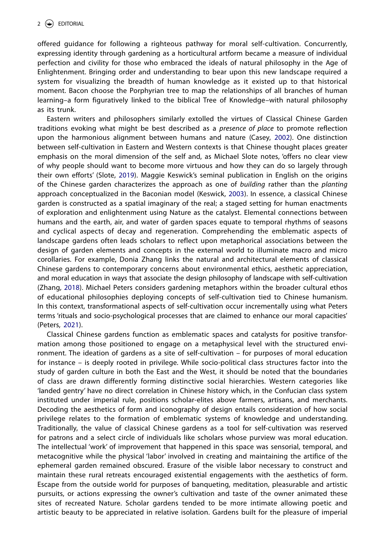offered guidance for following a righteous pathway for moral self-cultivation. Concurrently, expressing identity through gardening as a horticultural artform became a measure of individual perfection and civility for those who embraced the ideals of natural philosophy in the Age of Enlightenment. Bringing order and understanding to bear upon this new landscape required a system for visualizing the breadth of human knowledge as it existed up to that historical moment. Bacon choose the Porphyrian tree to map the relationships of all branches of human learning–a form figuratively linked to the biblical Tree of Knowledge–with natural philosophy as its trunk.

<span id="page-2-3"></span><span id="page-2-1"></span><span id="page-2-0"></span>Eastern writers and philosophers similarly extolled the virtues of Classical Chinese Garden traditions evoking what might be best described as a *presence of place* to promote reflection upon the harmonious alignment between humans and nature (Casey, [2002](#page-5-3)). One distinction between self-cultivation in Eastern and Western contexts is that Chinese thought places greater emphasis on the moral dimension of the self and, as Michael Slote notes, 'offers no clear view of why people should want to become more virtuous and how they can do so largely through their own efforts' (Slote, [2019](#page-6-0)). Maggie Keswick's seminal publication in English on the origins of the Chinese garden characterizes the approach as one of *building* rather than the *planting* approach conceptualized in the Baconian model (Keswick, [2003\)](#page-5-4). In essence, a classical Chinese garden is constructed as a spatial imaginary of the real; a staged setting for human enactments of exploration and enlightenment using Nature as the catalyst. Elemental connections between humans and the earth, air, and water of garden spaces equate to temporal rhythms of seasons and cyclical aspects of decay and regeneration. Comprehending the emblematic aspects of landscape gardens often leads scholars to reflect upon metaphorical associations between the design of garden elements and concepts in the external world to illuminate macro and micro corollaries. For example, Donia Zhang links the natural and architectural elements of classical Chinese gardens to contemporary concerns about environmental ethics, aesthetic appreciation, and moral education in ways that associate the design philosophy of landscape with self-cultivation (Zhang, [2018](#page-6-1)). Michael Peters considers gardening metaphors within the broader cultural ethos of educational philosophies deploying concepts of self-cultivation tied to Chinese humanism. In this context, transformational aspects of self-cultivation occur incrementally using what Peters terms 'rituals and socio-psychological processes that are claimed to enhance our moral capacities' (Peters, [2021](#page-5-5)).

<span id="page-2-4"></span><span id="page-2-2"></span>Classical Chinese gardens function as emblematic spaces and catalysts for positive transformation among those positioned to engage on a metaphysical level with the structured environment. The ideation of gardens as a site of self-cultivation – for purposes of moral education for instance – is deeply rooted in privilege. While socio-political class structures factor into the study of garden culture in both the East and the West, it should be noted that the boundaries of class are drawn differently forming distinctive social hierarchies. Western categories like 'landed gentry' have no direct correlation in Chinese history which, in the Confucian class system instituted under imperial rule, positions scholar-elites above farmers, artisans, and merchants. Decoding the aesthetics of form and iconography of design entails consideration of how social privilege relates to the formation of emblematic systems of knowledge and understanding. Traditionally, the value of classical Chinese gardens as a tool for self-cultivation was reserved for patrons and a select circle of individuals like scholars whose purview was moral education. The intellectual 'work' of improvement that happened in this space was sensorial, temporal, and metacognitive while the physical 'labor' involved in creating and maintaining the artifice of the ephemeral garden remained obscured. Erasure of the visible labor necessary to construct and maintain these rural retreats encouraged existential engagements with the aesthetics of form. Escape from the outside world for purposes of banqueting, meditation, pleasurable and artistic pursuits, or actions expressing the owner's cultivation and taste of the owner animated these sites of recreated Nature. Scholar gardens tended to be more intimate allowing poetic and artistic beauty to be appreciated in relative isolation. Gardens built for the pleasure of imperial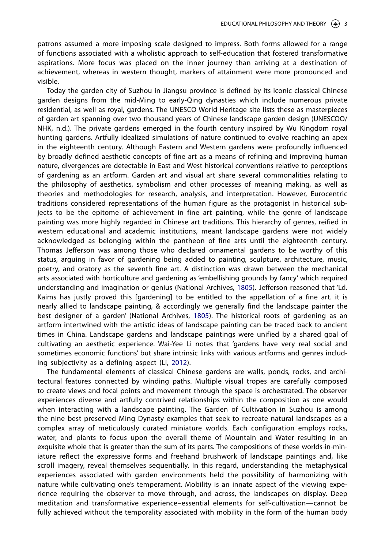patrons assumed a more imposing scale designed to impress. Both forms allowed for a range of functions associated with a wholistic approach to self-education that fostered transformative aspirations. More focus was placed on the inner journey than arriving at a destination of achievement, whereas in western thought, markers of attainment were more pronounced and visible.

Today the garden city of Suzhou in Jiangsu province is defined by its iconic classical Chinese garden designs from the mid-Ming to early-Qing dynasties which include numerous private residential, as well as royal, gardens. The UNESCO World Heritage site lists these as masterpieces of garden art spanning over two thousand years of Chinese landscape garden design (UNESCOO/ NHK, n.d.). The private gardens emerged in the fourth century inspired by Wu Kingdom royal hunting gardens. Artfully idealized simulations of nature continued to evolve reaching an apex in the eighteenth century. Although Eastern and Western gardens were profoundly influenced by broadly defined aesthetic concepts of fine art as a means of refining and improving human nature, divergences are detectable in East and West historical conventions relative to perceptions of gardening as an artform. Garden art and visual art share several commonalities relating to the philosophy of aesthetics, symbolism and other processes of meaning making, as well as theories and methodologies for research, analysis, and interpretation. However, Eurocentric traditions considered representations of the human figure as the protagonist in historical subjects to be the epitome of achievement in fine art painting, while the genre of landscape painting was more highly regarded in Chinese art traditions. This hierarchy of genres, reified in western educational and academic institutions, meant landscape gardens were not widely acknowledged as belonging within the pantheon of fine arts until the eighteenth century. Thomas Jefferson was among those who declared ornamental gardens to be worthy of this status, arguing in favor of gardening being added to painting, sculpture, architecture, music, poetry, and oratory as the seventh fine art. A distinction was drawn between the mechanical arts associated with horticulture and gardening as 'embellishing grounds by fancy' which required understanding and imagination or genius (National Archives, [1805\)](#page-5-6). Jefferson reasoned that 'Ld. Kaims has justly proved this [gardening] to be entitled to the appellation of a fine art. it is nearly allied to landscape painting, & accordingly we generally find the landscape painter the best designer of a garden' (National Archives, [1805\)](#page-5-7). The historical roots of gardening as an artform intertwined with the artistic ideas of landscape painting can be traced back to ancient times in China. Landscape gardens and landscape paintings were unified by a shared goal of cultivating an aesthetic experience. Wai-Yee Li notes that 'gardens have very real social and sometimes economic functions' but share intrinsic links with various artforms and genres including subjectivity as a defining aspect (Li, [2012\)](#page-5-8).

<span id="page-3-1"></span><span id="page-3-0"></span>The fundamental elements of classical Chinese gardens are walls, ponds, rocks, and architectural features connected by winding paths. Multiple visual tropes are carefully composed to create views and focal points and movement through the space is orchestrated. The observer experiences diverse and artfully contrived relationships within the composition as one would when interacting with a landscape painting. The Garden of Cultivation in Suzhou is among the nine best preserved Ming Dynasty examples that seek to recreate natural landscapes as a complex array of meticulously curated miniature worlds. Each configuration employs rocks, water, and plants to focus upon the overall theme of Mountain and Water resulting in an exquisite whole that is greater than the sum of its parts. The compositions of these worlds-in-miniature reflect the expressive forms and freehand brushwork of landscape paintings and, like scroll imagery, reveal themselves sequentially. In this regard, understanding the metaphysical experiences associated with garden environments held the possibility of harmonizing with nature while cultivating one's temperament. Mobility is an innate aspect of the viewing experience requiring the observer to move through, and across, the landscapes on display. Deep meditation and transformative experience–essential elements for self-cultivation—cannot be fully achieved without the temporality associated with mobility in the form of the human body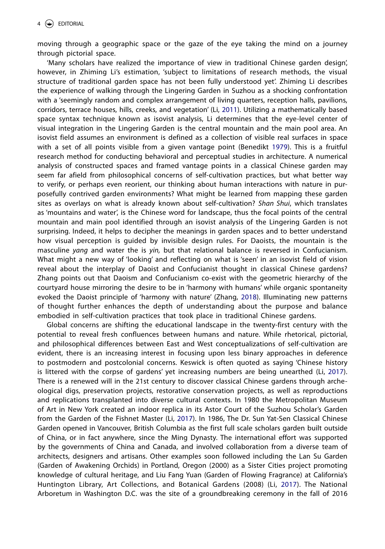moving through a geographic space or the gaze of the eye taking the mind on a journey through pictorial space.

<span id="page-4-2"></span><span id="page-4-0"></span>'Many scholars have realized the importance of view in traditional Chinese garden design', however, in Zhiming Li's estimation, 'subject to limitations of research methods, the visual structure of traditional garden space has not been fully understood yet'. Zhiming Li describes the experience of walking through the Lingering Garden in Suzhou as a shocking confrontation with a 'seemingly random and complex arrangement of living quarters, reception halls, pavilions, corridors, terrace houses, hills, creeks, and vegetation' (Li, [2011](#page-5-9)). Utilizing a mathematically based space syntax technique known as isovist analysis, Li determines that the eye-level center of visual integration in the Lingering Garden is the central mountain and the main pool area. An isovist field assumes an environment is defined as a collection of visible real surfaces in space with a set of all points visible from a given vantage point (Benedikt [1979\)](#page-5-10). This is a fruitful research method for conducting behavioral and perceptual studies in architecture. A numerical analysis of constructed spaces and framed vantage points in a classical Chinese garden may seem far afield from philosophical concerns of self-cultivation practices, but what better way to verify, or perhaps even reorient, our thinking about human interactions with nature in purposefully contrived garden environments? What might be learned from mapping these garden sites as overlays on what is already known about self-cultivation? *Shan Shui*, which translates as 'mountains and water', is the Chinese word for landscape, thus the focal points of the central mountain and main pool identified through an isovist analysis of the Lingering Garden is not surprising. Indeed, it helps to decipher the meanings in garden spaces and to better understand how visual perception is guided by invisible design rules. For Daoists, the mountain is the masculine *yang* and water the is *yin,* but that relational balance is reversed in Confucianism. What might a new way of 'looking' and reflecting on what is 'seen' in an isovist field of vision reveal about the interplay of Daoist and Confucianist thought in classical Chinese gardens? Zhang points out that Daoism and Confucianism co-exist with the geometric hierarchy of the courtyard house mirroring the desire to be in 'harmony with humans' while organic spontaneity evoked the Daoist principle of 'harmony with nature' (Zhang, [2018\)](#page-6-2). Illuminating new patterns of thought further enhances the depth of understanding about the purpose and balance embodied in self-cultivation practices that took place in traditional Chinese gardens.

<span id="page-4-1"></span>Global concerns are shifting the educational landscape in the twenty-first century with the potential to reveal fresh confluences between humans and nature. While rhetorical, pictorial, and philosophical differences between East and West conceptualizations of self-cultivation are evident, there is an increasing interest in focusing upon less binary approaches in deference to postmodern and postcolonial concerns. Keswick is often quoted as saying 'Chinese history is littered with the corpse of gardens' yet increasing numbers are being unearthed (Li, [2017](#page-5-11)). There is a renewed will in the 21st century to discover classical Chinese gardens through archeological digs, preservation projects, restorative conservation projects, as well as reproductions and replications transplanted into diverse cultural contexts. In 1980 the Metropolitan Museum of Art in New York created an indoor replica in its Astor Court of the Suzhou Scholar's Garden from the Garden of the Fishnet Master (Li, [2017](#page-5-11)). In 1986, The Dr. Sun Yat-Sen Classical Chinese Garden opened in Vancouver, British Columbia as the first full scale scholars garden built outside of China, or in fact anywhere, since the Ming Dynasty. The international effort was supported by the governments of China and Canada, and involved collaboration from a diverse team of architects, designers and artisans. Other examples soon followed including the Lan Su Garden (Garden of Awakening Orchids) in Portland, Oregon (2000) as a Sister Cities project promoting knowledge of cultural heritage, and Liu Fang Yuan (Garden of Flowing Fragrance) at California's Huntington Library, Art Collections, and Botanical Gardens (2008) (Li, [2017](#page-5-11)). The National Arboretum in Washington D.C. was the site of a groundbreaking ceremony in the fall of 2016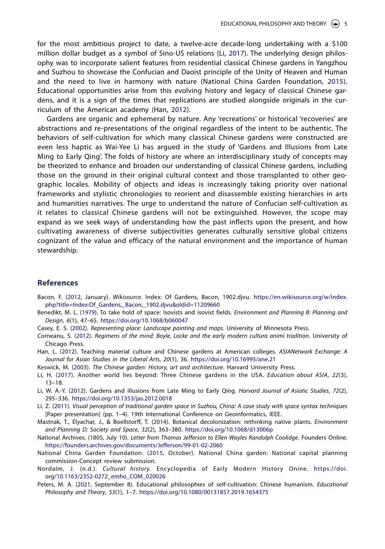<span id="page-5-16"></span>for the most ambitious project to date, a twelve-acre decade-long undertaking with a \$100 million dollar budget as a symbol of Sino-US relations (Li, [2017](#page-5-12)). The underlying design philosophy was to incorporate salient features from residential classical Chinese gardens in Yangzhou and Suzhou to showcase the Confucian and Daoist principle of the Unity of Heaven and Human and the need to live in harmony with nature (National China Garden Foundation, [2015](#page-5-13)). Educational opportunities arise from this evolving history and legacy of classical Chinese gardens, and it is a sign of the times that replications are studied alongside originals in the curriculum of the American academy (Han, [2012](#page-5-14)).

<span id="page-5-15"></span>Gardens are organic and ephemeral by nature. Any 'recreations' or historical 'recoveries' are abstractions and re-presentations of the original regardless of the intent to be authentic. The behaviors of self-cultivation for which many classical Chinese gardens were constructed are even less haptic as Wai-Yee Li has argued in the study of 'Gardens and Illusions from Late Ming to Early Qing'. The folds of history are where an interdisciplinary study of concepts may be theorized to enhance and broaden our understanding of classical Chinese gardens, including those on the ground in their original cultural context and those transplanted to other geographic locales. Mobility of objects and ideas is increasingly taking priority over national frameworks and stylistic chronologies to reorient and disassemble existing hierarchies in arts and humanities narratives. The urge to understand the nature of Confucian self-cultivation as it relates to classical Chinese gardens will not be extinguished. However, the scope may expand as we seek ways of understanding how the past inflects upon the present, and how cultivating awareness of diverse subjectivities generates culturally sensitive global citizens cognizant of the value and efficacy of the natural environment and the importance of human stewardship.

## **References**

- <span id="page-5-0"></span>Bacon, F. [\(2012,](#page-1-0) January). *Wikisource*. Index: Of Gardens, Bacon, 1902.djvu. [https://en.wikisource.org/w/index.](https://en.wikisource.org/w/index.php?title=Index:Of_Gardens,_Bacon,_1902.djvu&oldid=11209660) [php?title=Index:Of\\_Gardens,\\_Bacon,\\_1902.djvu&oldid=11209660](https://en.wikisource.org/w/index.php?title=Index:Of_Gardens,_Bacon,_1902.djvu&oldid=11209660)
- <span id="page-5-10"></span>Benedikt, M. L. ([1979\)](#page-4-0). To take hold of space: Isovists and isovist fields. *Environment and Planning B: Planning and Design*, *6*(1), 47–65. <https://doi.org/10.1068/b060047>
- <span id="page-5-3"></span>Casey, E. S. ([2002](#page-2-0)). *Representing place: Landscape painting and maps*. University of Minnesota Press.
- <span id="page-5-1"></span>Corneanu, S. ([2012](#page-1-1)). *Regimens of the mind: Boyle, Locke and the early modern cultura animi tradition*. University of Chicago Press.
- <span id="page-5-14"></span>Han, L. [\(2012\)](#page-5-15). Teaching material culture and Chinese gardens at American colleges. *ASIANetwork Exchange: A Journal for Asian Studies in the Liberal Arts*, *20*(1), 36. <https://doi.org/10.16995/ane.21>
- <span id="page-5-4"></span>Keswick, M. [\(2003](#page-2-1)). *The Chinese garden: History, art and architecture*. Harvard University Press.
- <span id="page-5-12"></span><span id="page-5-11"></span>Li, H. ([2017](#page-4-1)). Another world lies beyond: Three Chinese gardens in the USA. *Education about ASIA*, *22*(3), 13–18.
- <span id="page-5-8"></span>Li, W. A.-Y. ([2012](#page-3-0)). Gardens and illusions from Late Ming to Early Qing. *Harvard Journal of Asiatic Studies*, *72*(2), 295–336. <https://doi.org/10.1353/jas.2012.0018>
- <span id="page-5-9"></span>Li, Z. [\(2011](#page-4-2)). *Visual perception of traditional garden space in Suzhou, China: A case study with space syntax techniques* [Paper presentation] (pp. 1–4). 19th International Conference on Geoinformatics, IEEE.
- <span id="page-5-2"></span>Mastnak, T., Elyachar, J., & Boellstorff, T. ([2014](#page-1-2)). Botanical decolonization: rethinking native plants. *Environment and Planning D: Society and Space*, *32*(2), 363–380. <https://doi.org/10.1068/d13006p>
- <span id="page-5-7"></span><span id="page-5-6"></span>National Archives. [\(1805,](#page-3-1) July 10). *Letter from Thomas Jefferson to Ellen Wayles Randolph Coolidge*. Founders Online. <https://founders.archives.gov/documents/Jefferson/99-01-02-2060>
- <span id="page-5-13"></span>National China Garden Foundation. [\(2015,](#page-5-16) October). National China garden: National capital planning commission-Concept review submission.
- Nordalm, J. (n.d.). *Cultural history.* Encyclopedia of Early Modern History Onine. [https://doi.](https://doi.org/10.1163/2352-0272_emho_COM_020026) [org/10.1163/2352-0272\\_emho\\_COM\\_020026](https://doi.org/10.1163/2352-0272_emho_COM_020026)
- <span id="page-5-5"></span>Peters, M. A. [\(2021,](#page-2-2) September 8). Educational philosophies of self-cultivation: Chinese humanism. *Educational Philosophy and Theory*, *53*(1), 1–7. <https://doi.org/10.1080/00131857.2019.1654375>